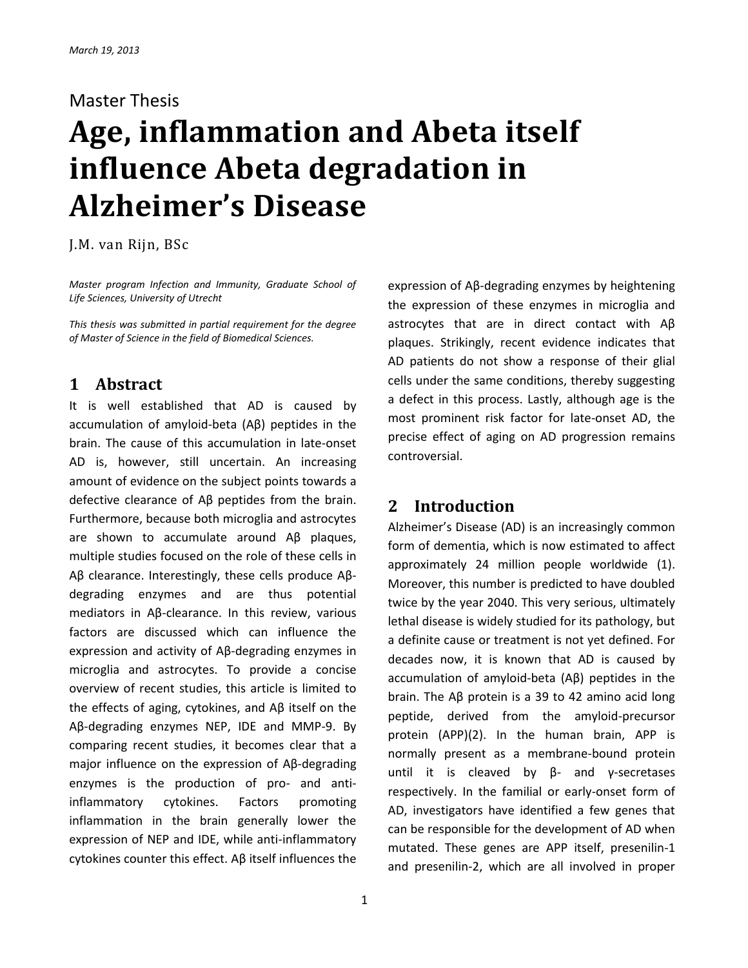#### Master Thesis

# **Age, inflammation and Abeta itself influence Abeta degradation in Alzheimer's Disease**

J.M. van Rijn, BSc

*Master program Infection and Immunity, Graduate School of Life Sciences, University of Utrecht*

*This thesis was submitted in partial requirement for the degree of Master of Science in the field of Biomedical Sciences.*

# **1 Abstract**

It is well established that AD is caused by accumulation of amyloid-beta (Aβ) peptides in the brain. The cause of this accumulation in late-onset AD is, however, still uncertain. An increasing amount of evidence on the subject points towards a defective clearance of Aβ peptides from the brain. Furthermore, because both microglia and astrocytes are shown to accumulate around Aβ plaques, multiple studies focused on the role of these cells in Aβ clearance. Interestingly, these cells produce Aβdegrading enzymes and are thus potential mediators in Aβ-clearance. In this review, various factors are discussed which can influence the expression and activity of Aβ-degrading enzymes in microglia and astrocytes. To provide a concise overview of recent studies, this article is limited to the effects of aging, cytokines, and Aβ itself on the Aβ-degrading enzymes NEP, IDE and MMP-9. By comparing recent studies, it becomes clear that a major influence on the expression of Aβ-degrading enzymes is the production of pro- and antiinflammatory cytokines. Factors promoting inflammation in the brain generally lower the expression of NEP and IDE, while anti-inflammatory cytokines counter this effect. Aβ itself influences the

1

expression of Aβ-degrading enzymes by heightening the expression of these enzymes in microglia and astrocytes that are in direct contact with Aβ plaques. Strikingly, recent evidence indicates that AD patients do not show a response of their glial cells under the same conditions, thereby suggesting a defect in this process. Lastly, although age is the most prominent risk factor for late-onset AD, the precise effect of aging on AD progression remains controversial.

## **2 Introduction**

Alzheimer's Disease (AD) is an increasingly common form of dementia, which is now estimated to affect approximately 24 million people worldwide (1). Moreover, this number is predicted to have doubled twice by the year 2040. This very serious, ultimately lethal disease is widely studied for its pathology, but a definite cause or treatment is not yet defined. For decades now, it is known that AD is caused by accumulation of amyloid-beta (Aβ) peptides in the brain. The Aβ protein is a 39 to 42 amino acid long peptide, derived from the amyloid-precursor protein (APP)(2). In the human brain, APP is normally present as a membrane-bound protein until it is cleaved by β- and γ-secretases respectively. In the familial or early-onset form of AD, investigators have identified a few genes that can be responsible for the development of AD when mutated. These genes are APP itself, presenilin-1 and presenilin-2, which are all involved in proper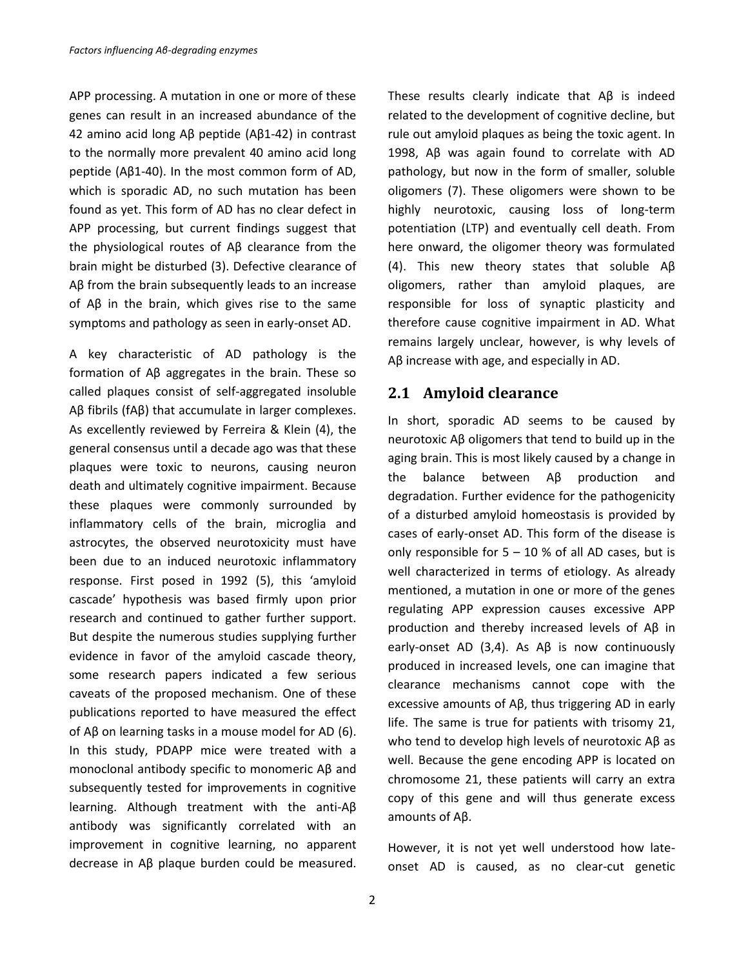APP processing. A mutation in one or more of these genes can result in an increased abundance of the 42 amino acid long Aβ peptide (Aβ1-42) in contrast to the normally more prevalent 40 amino acid long peptide (Aβ1-40). In the most common form of AD, which is sporadic AD, no such mutation has been found as yet. This form of AD has no clear defect in APP processing, but current findings suggest that the physiological routes of Aβ clearance from the brain might be disturbed (3). Defective clearance of Aβ from the brain subsequently leads to an increase of Aβ in the brain, which gives rise to the same symptoms and pathology as seen in early-onset AD.

A key characteristic of AD pathology is the formation of Aβ aggregates in the brain. These so called plaques consist of self-aggregated insoluble Aβ fibrils (fAβ) that accumulate in larger complexes. As excellently reviewed by Ferreira & Klein (4), the general consensus until a decade ago was that these plaques were toxic to neurons, causing neuron death and ultimately cognitive impairment. Because these plaques were commonly surrounded by inflammatory cells of the brain, microglia and astrocytes, the observed neurotoxicity must have been due to an induced neurotoxic inflammatory response. First posed in 1992 (5), this 'amyloid cascade' hypothesis was based firmly upon prior research and continued to gather further support. But despite the numerous studies supplying further evidence in favor of the amyloid cascade theory, some research papers indicated a few serious caveats of the proposed mechanism. One of these publications reported to have measured the effect of Aβ on learning tasks in a mouse model for AD (6). In this study, PDAPP mice were treated with a monoclonal antibody specific to monomeric Aβ and subsequently tested for improvements in cognitive learning. Although treatment with the anti-Aβ antibody was significantly correlated with an improvement in cognitive learning, no apparent decrease in Aβ plaque burden could be measured. These results clearly indicate that Aβ is indeed related to the development of cognitive decline, but rule out amyloid plaques as being the toxic agent. In 1998, Aβ was again found to correlate with AD pathology, but now in the form of smaller, soluble oligomers (7). These oligomers were shown to be highly neurotoxic, causing loss of long-term potentiation (LTP) and eventually cell death. From here onward, the oligomer theory was formulated (4). This new theory states that soluble Aβ oligomers, rather than amyloid plaques, are responsible for loss of synaptic plasticity and therefore cause cognitive impairment in AD. What remains largely unclear, however, is why levels of Aβ increase with age, and especially in AD.

#### **2.1 Amyloid clearance**

In short, sporadic AD seems to be caused by neurotoxic Aβ oligomers that tend to build up in the aging brain. This is most likely caused by a change in the balance between Aβ production and degradation. Further evidence for the pathogenicity of a disturbed amyloid homeostasis is provided by cases of early-onset AD. This form of the disease is only responsible for  $5 - 10$  % of all AD cases, but is well characterized in terms of etiology. As already mentioned, a mutation in one or more of the genes regulating APP expression causes excessive APP production and thereby increased levels of Aβ in early-onset AD (3,4). As Aβ is now continuously produced in increased levels, one can imagine that clearance mechanisms cannot cope with the excessive amounts of Aβ, thus triggering AD in early life. The same is true for patients with trisomy 21, who tend to develop high levels of neurotoxic Aβ as well. Because the gene encoding APP is located on chromosome 21, these patients will carry an extra copy of this gene and will thus generate excess amounts of Aβ.

However, it is not yet well understood how lateonset AD is caused, as no clear-cut genetic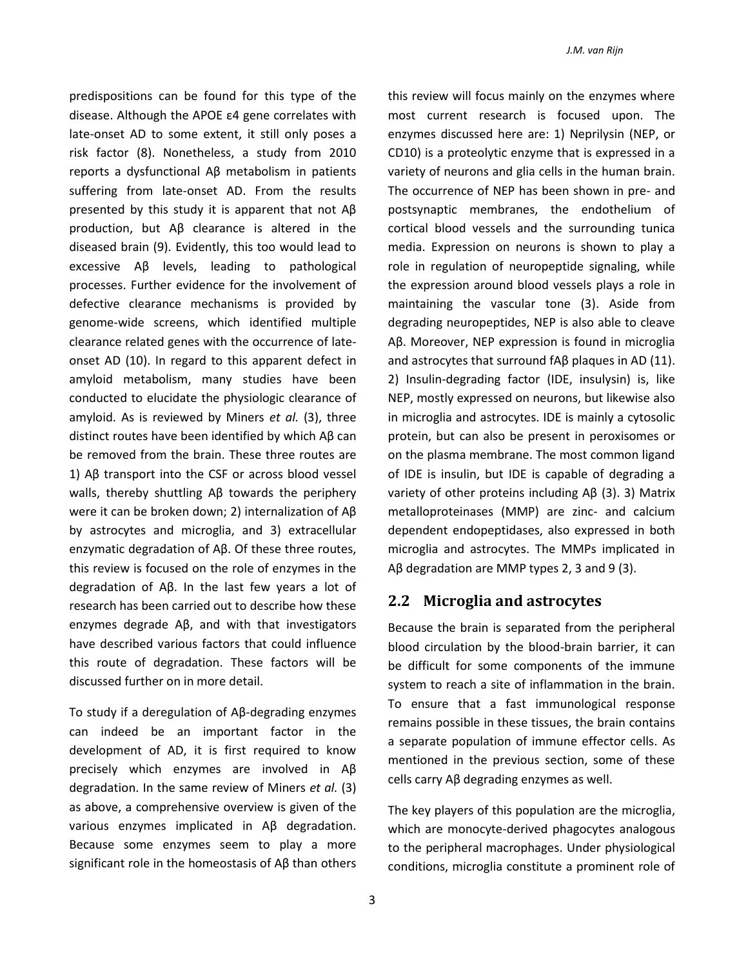predispositions can be found for this type of the disease. Although the APOE ε4 gene correlates with late-onset AD to some extent, it still only poses a risk factor (8). Nonetheless, a study from 2010 reports a dysfunctional Aβ metabolism in patients suffering from late-onset AD. From the results presented by this study it is apparent that not Aβ production, but Aβ clearance is altered in the diseased brain (9). Evidently, this too would lead to excessive Aβ levels, leading to pathological processes. Further evidence for the involvement of defective clearance mechanisms is provided by genome-wide screens, which identified multiple clearance related genes with the occurrence of lateonset AD (10). In regard to this apparent defect in amyloid metabolism, many studies have been conducted to elucidate the physiologic clearance of amyloid. As is reviewed by Miners *et al.* (3), three distinct routes have been identified by which Aβ can be removed from the brain. These three routes are 1) Aβ transport into the CSF or across blood vessel walls, thereby shuttling Aβ towards the periphery were it can be broken down; 2) internalization of Aβ by astrocytes and microglia, and 3) extracellular enzymatic degradation of Aβ. Of these three routes, this review is focused on the role of enzymes in the degradation of Aβ. In the last few years a lot of research has been carried out to describe how these enzymes degrade Aβ, and with that investigators have described various factors that could influence this route of degradation. These factors will be discussed further on in more detail.

To study if a deregulation of Aβ-degrading enzymes can indeed be an important factor in the development of AD, it is first required to know precisely which enzymes are involved in Aβ degradation. In the same review of Miners *et al.* (3) as above, a comprehensive overview is given of the various enzymes implicated in Aβ degradation. Because some enzymes seem to play a more significant role in the homeostasis of Aβ than others

this review will focus mainly on the enzymes where most current research is focused upon. The enzymes discussed here are: 1) Neprilysin (NEP, or CD10) is a proteolytic enzyme that is expressed in a variety of neurons and glia cells in the human brain. The occurrence of NEP has been shown in pre- and postsynaptic membranes, the endothelium of cortical blood vessels and the surrounding tunica media. Expression on neurons is shown to play a role in regulation of neuropeptide signaling, while the expression around blood vessels plays a role in maintaining the vascular tone (3). Aside from degrading neuropeptides, NEP is also able to cleave Aβ. Moreover, NEP expression is found in microglia and astrocytes that surround fAβ plaques in AD (11). 2) Insulin-degrading factor (IDE, insulysin) is, like NEP, mostly expressed on neurons, but likewise also in microglia and astrocytes. IDE is mainly a cytosolic protein, but can also be present in peroxisomes or on the plasma membrane. The most common ligand of IDE is insulin, but IDE is capable of degrading a variety of other proteins including Aβ (3). 3) Matrix metalloproteinases (MMP) are zinc- and calcium dependent endopeptidases, also expressed in both microglia and astrocytes. The MMPs implicated in Aβ degradation are MMP types 2, 3 and 9 (3).

#### **2.2 Microglia and astrocytes**

Because the brain is separated from the peripheral blood circulation by the blood-brain barrier, it can be difficult for some components of the immune system to reach a site of inflammation in the brain. To ensure that a fast immunological response remains possible in these tissues, the brain contains a separate population of immune effector cells. As mentioned in the previous section, some of these cells carry Aβ degrading enzymes as well.

The key players of this population are the microglia, which are monocyte-derived phagocytes analogous to the peripheral macrophages. Under physiological conditions, microglia constitute a prominent role of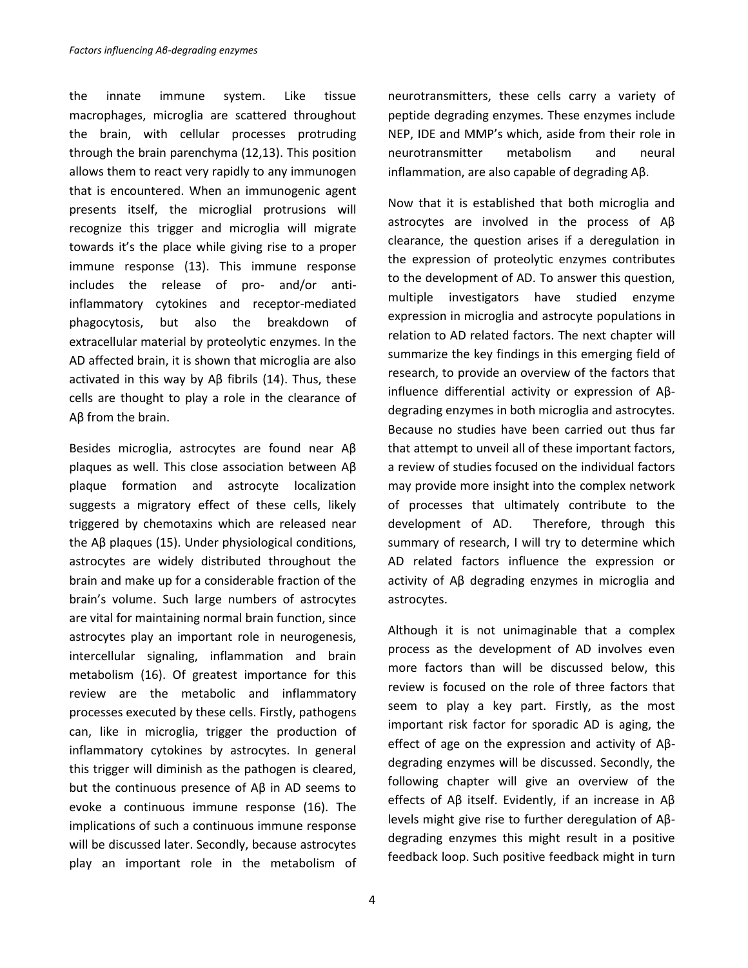the innate immune system. Like tissue macrophages, microglia are scattered throughout the brain, with cellular processes protruding through the brain parenchyma (12,13). This position allows them to react very rapidly to any immunogen that is encountered. When an immunogenic agent presents itself, the microglial protrusions will recognize this trigger and microglia will migrate towards it's the place while giving rise to a proper immune response (13). This immune response includes the release of pro- and/or antiinflammatory cytokines and receptor-mediated phagocytosis, but also the breakdown of extracellular material by proteolytic enzymes. In the AD affected brain, it is shown that microglia are also activated in this way by Aβ fibrils (14). Thus, these cells are thought to play a role in the clearance of Aβ from the brain.

Besides microglia, astrocytes are found near Aβ plaques as well. This close association between Aβ plaque formation and astrocyte localization suggests a migratory effect of these cells, likely triggered by chemotaxins which are released near the Aβ plaques (15). Under physiological conditions, astrocytes are widely distributed throughout the brain and make up for a considerable fraction of the brain's volume. Such large numbers of astrocytes are vital for maintaining normal brain function, since astrocytes play an important role in neurogenesis, intercellular signaling, inflammation and brain metabolism (16). Of greatest importance for this review are the metabolic and inflammatory processes executed by these cells. Firstly, pathogens can, like in microglia, trigger the production of inflammatory cytokines by astrocytes. In general this trigger will diminish as the pathogen is cleared, but the continuous presence of Aβ in AD seems to evoke a continuous immune response (16). The implications of such a continuous immune response will be discussed later. Secondly, because astrocytes play an important role in the metabolism of neurotransmitters, these cells carry a variety of peptide degrading enzymes. These enzymes include NEP, IDE and MMP's which, aside from their role in neurotransmitter metabolism and neural inflammation, are also capable of degrading Aβ.

Now that it is established that both microglia and astrocytes are involved in the process of Aβ clearance, the question arises if a deregulation in the expression of proteolytic enzymes contributes to the development of AD. To answer this question, multiple investigators have studied enzyme expression in microglia and astrocyte populations in relation to AD related factors. The next chapter will summarize the key findings in this emerging field of research, to provide an overview of the factors that influence differential activity or expression of Aβdegrading enzymes in both microglia and astrocytes. Because no studies have been carried out thus far that attempt to unveil all of these important factors, a review of studies focused on the individual factors may provide more insight into the complex network of processes that ultimately contribute to the development of AD. Therefore, through this summary of research, I will try to determine which AD related factors influence the expression or activity of Aβ degrading enzymes in microglia and astrocytes.

Although it is not unimaginable that a complex process as the development of AD involves even more factors than will be discussed below, this review is focused on the role of three factors that seem to play a key part. Firstly, as the most important risk factor for sporadic AD is aging, the effect of age on the expression and activity of Aβdegrading enzymes will be discussed. Secondly, the following chapter will give an overview of the effects of Aβ itself. Evidently, if an increase in Aβ levels might give rise to further deregulation of Aβdegrading enzymes this might result in a positive feedback loop. Such positive feedback might in turn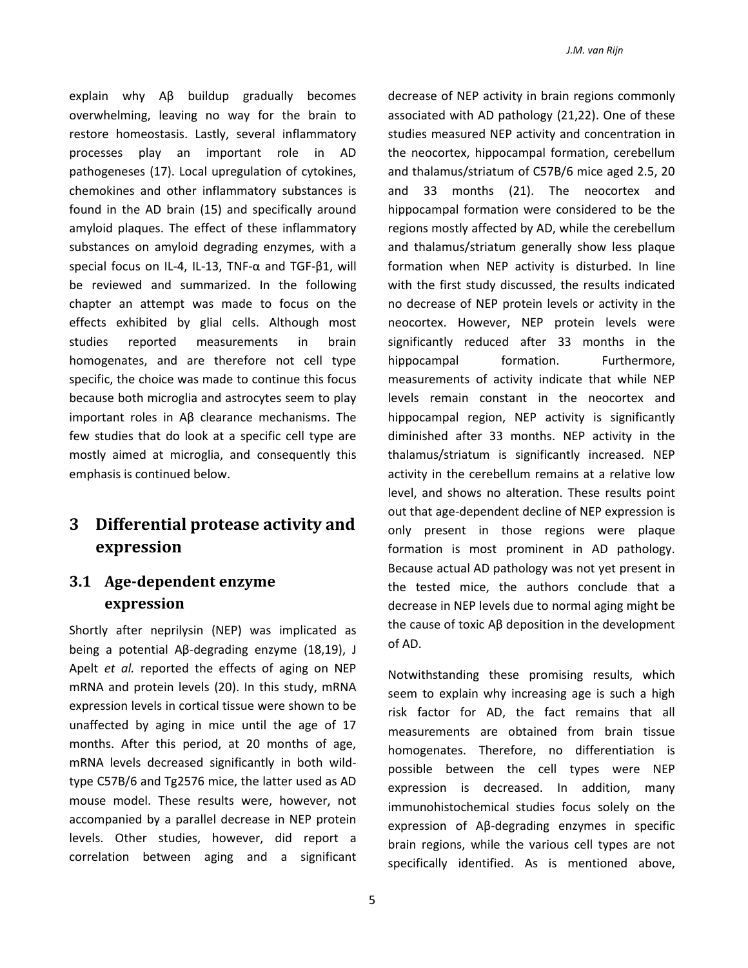explain why Aβ buildup gradually becomes overwhelming, leaving no way for the brain to restore homeostasis. Lastly, several inflammatory processes play an important role in AD pathogeneses (17). Local upregulation of cytokines, chemokines and other inflammatory substances is found in the AD brain (15) and specifically around amyloid plaques. The effect of these inflammatory substances on amyloid degrading enzymes, with a special focus on IL-4, IL-13, TNF-α and TGF-β1, will be reviewed and summarized. In the following chapter an attempt was made to focus on the effects exhibited by glial cells. Although most studies reported measurements in brain homogenates, and are therefore not cell type specific, the choice was made to continue this focus because both microglia and astrocytes seem to play important roles in Aβ clearance mechanisms. The few studies that do look at a specific cell type are mostly aimed at microglia, and consequently this emphasis is continued below.

# **3 Differential protease activity and expression**

### **3.1 Age-dependent enzyme expression**

Shortly after neprilysin (NEP) was implicated as being a potential Aβ-degrading enzyme (18,19), J Apelt *et al.* reported the effects of aging on NEP mRNA and protein levels (20). In this study, mRNA expression levels in cortical tissue were shown to be unaffected by aging in mice until the age of 17 months. After this period, at 20 months of age, mRNA levels decreased significantly in both wildtype C57B/6 and Tg2576 mice, the latter used as AD mouse model. These results were, however, not accompanied by a parallel decrease in NEP protein levels. Other studies, however, did report a correlation between aging and a significant

decrease of NEP activity in brain regions commonly associated with AD pathology (21,22). One of these studies measured NEP activity and concentration in the neocortex, hippocampal formation, cerebellum and thalamus/striatum of C57B/6 mice aged 2.5, 20 and 33 months (21). The neocortex and hippocampal formation were considered to be the regions mostly affected by AD, while the cerebellum and thalamus/striatum generally show less plaque formation when NEP activity is disturbed. In line with the first study discussed, the results indicated no decrease of NEP protein levels or activity in the neocortex. However, NEP protein levels were significantly reduced after 33 months in the hippocampal formation. Furthermore, measurements of activity indicate that while NEP levels remain constant in the neocortex and hippocampal region, NEP activity is significantly diminished after 33 months. NEP activity in the thalamus/striatum is significantly increased. NEP activity in the cerebellum remains at a relative low level, and shows no alteration. These results point out that age-dependent decline of NEP expression is only present in those regions were plaque formation is most prominent in AD pathology. Because actual AD pathology was not yet present in the tested mice, the authors conclude that a decrease in NEP levels due to normal aging might be the cause of toxic Aβ deposition in the development of AD.

Notwithstanding these promising results, which seem to explain why increasing age is such a high risk factor for AD, the fact remains that all measurements are obtained from brain tissue homogenates. Therefore, no differentiation is possible between the cell types were NEP expression is decreased. In addition, many immunohistochemical studies focus solely on the expression of Aβ-degrading enzymes in specific brain regions, while the various cell types are not specifically identified. As is mentioned above,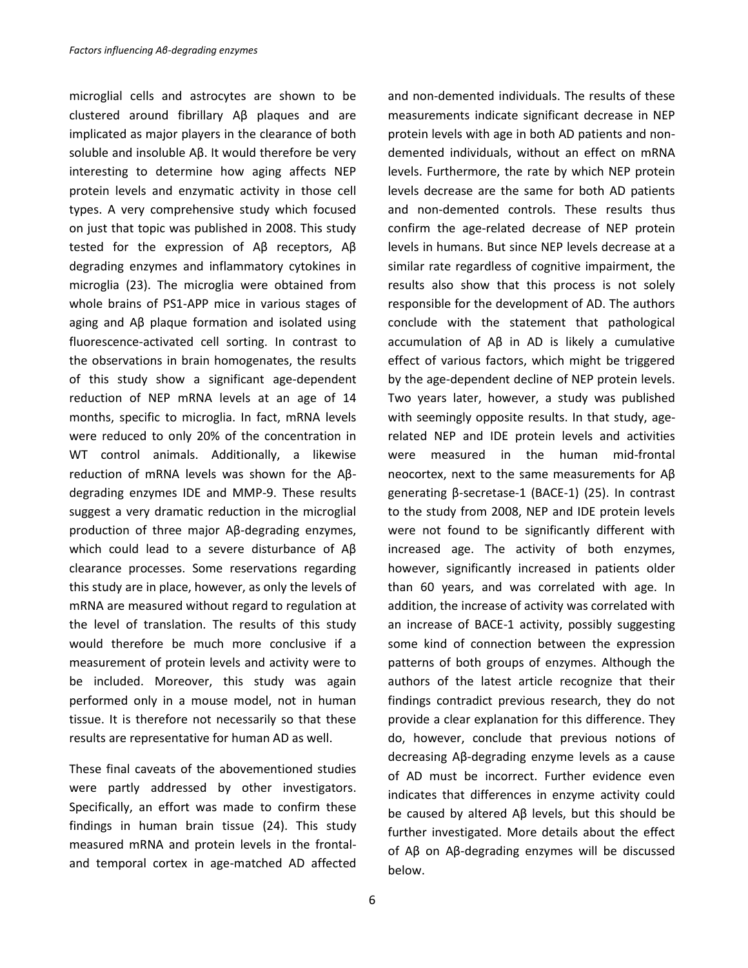microglial cells and astrocytes are shown to be clustered around fibrillary Aβ plaques and are implicated as major players in the clearance of both soluble and insoluble Aβ. It would therefore be very interesting to determine how aging affects NEP protein levels and enzymatic activity in those cell types. A very comprehensive study which focused on just that topic was published in 2008. This study tested for the expression of Aβ receptors, Aβ degrading enzymes and inflammatory cytokines in microglia (23). The microglia were obtained from whole brains of PS1-APP mice in various stages of aging and Aβ plaque formation and isolated using fluorescence-activated cell sorting. In contrast to the observations in brain homogenates, the results of this study show a significant age-dependent reduction of NEP mRNA levels at an age of 14 months, specific to microglia. In fact, mRNA levels were reduced to only 20% of the concentration in WT control animals. Additionally, a likewise reduction of mRNA levels was shown for the Aβdegrading enzymes IDE and MMP-9. These results suggest a very dramatic reduction in the microglial production of three major Aβ-degrading enzymes, which could lead to a severe disturbance of Aβ clearance processes. Some reservations regarding this study are in place, however, as only the levels of mRNA are measured without regard to regulation at the level of translation. The results of this study would therefore be much more conclusive if a measurement of protein levels and activity were to be included. Moreover, this study was again performed only in a mouse model, not in human tissue. It is therefore not necessarily so that these results are representative for human AD as well.

These final caveats of the abovementioned studies were partly addressed by other investigators. Specifically, an effort was made to confirm these findings in human brain tissue (24). This study measured mRNA and protein levels in the frontaland temporal cortex in age-matched AD affected

6

and non-demented individuals. The results of these measurements indicate significant decrease in NEP protein levels with age in both AD patients and nondemented individuals, without an effect on mRNA levels. Furthermore, the rate by which NEP protein levels decrease are the same for both AD patients and non-demented controls. These results thus confirm the age-related decrease of NEP protein levels in humans. But since NEP levels decrease at a similar rate regardless of cognitive impairment, the results also show that this process is not solely responsible for the development of AD. The authors conclude with the statement that pathological accumulation of Aβ in AD is likely a cumulative effect of various factors, which might be triggered by the age-dependent decline of NEP protein levels. Two years later, however, a study was published with seemingly opposite results. In that study, agerelated NEP and IDE protein levels and activities were measured in the human mid-frontal neocortex, next to the same measurements for Aβ generating β-secretase-1 (BACE-1) (25). In contrast to the study from 2008, NEP and IDE protein levels were not found to be significantly different with increased age. The activity of both enzymes, however, significantly increased in patients older than 60 years, and was correlated with age. In addition, the increase of activity was correlated with an increase of BACE-1 activity, possibly suggesting some kind of connection between the expression patterns of both groups of enzymes. Although the authors of the latest article recognize that their findings contradict previous research, they do not provide a clear explanation for this difference. They do, however, conclude that previous notions of decreasing Aβ-degrading enzyme levels as a cause of AD must be incorrect. Further evidence even indicates that differences in enzyme activity could be caused by altered Aβ levels, but this should be further investigated. More details about the effect of Aβ on Aβ-degrading enzymes will be discussed below.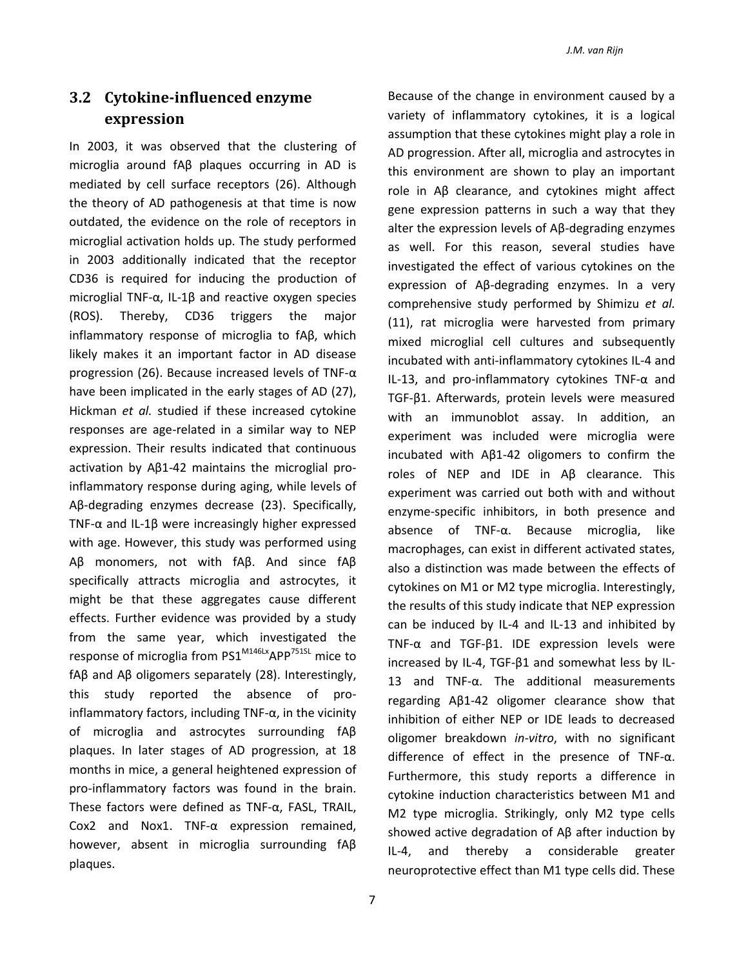## **3.2 Cytokine-influenced enzyme expression**

In 2003, it was observed that the clustering of microglia around fAβ plaques occurring in AD is mediated by cell surface receptors (26). Although the theory of AD pathogenesis at that time is now outdated, the evidence on the role of receptors in microglial activation holds up. The study performed in 2003 additionally indicated that the receptor CD36 is required for inducing the production of microglial TNF-α, IL-1β and reactive oxygen species (ROS). Thereby, CD36 triggers the major inflammatory response of microglia to fAβ, which likely makes it an important factor in AD disease progression (26). Because increased levels of TNF-α have been implicated in the early stages of AD (27), Hickman *et al.* studied if these increased cytokine responses are age-related in a similar way to NEP expression. Their results indicated that continuous activation by Aβ1-42 maintains the microglial proinflammatory response during aging, while levels of Aβ-degrading enzymes decrease (23). Specifically, TNF-α and IL-1β were increasingly higher expressed with age. However, this study was performed using Aβ monomers, not with fAβ. And since fAβ specifically attracts microglia and astrocytes, it might be that these aggregates cause different effects. Further evidence was provided by a study from the same year, which investigated the response of microglia from PS1<sup>M146Lx</sup>APP<sup>751SL</sup> mice to fAβ and Aβ oligomers separately (28). Interestingly, this study reported the absence of proinflammatory factors, including TNF- $\alpha$ , in the vicinity of microglia and astrocytes surrounding fAβ plaques. In later stages of AD progression, at 18 months in mice, a general heightened expression of pro-inflammatory factors was found in the brain. These factors were defined as TNF-α, FASL, TRAIL, Cox2 and Nox1. TNF-α expression remained, however, absent in microglia surrounding fAβ plaques.

Because of the change in environment caused by a variety of inflammatory cytokines, it is a logical assumption that these cytokines might play a role in AD progression. After all, microglia and astrocytes in this environment are shown to play an important role in Aβ clearance, and cytokines might affect gene expression patterns in such a way that they alter the expression levels of Aβ-degrading enzymes as well. For this reason, several studies have investigated the effect of various cytokines on the expression of Aβ-degrading enzymes. In a very comprehensive study performed by Shimizu *et al.* (11), rat microglia were harvested from primary mixed microglial cell cultures and subsequently incubated with anti-inflammatory cytokines IL-4 and IL-13, and pro-inflammatory cytokines TNF-α and TGF-β1. Afterwards, protein levels were measured with an immunoblot assay. In addition, an experiment was included were microglia were incubated with Aβ1-42 oligomers to confirm the roles of NEP and IDE in Aβ clearance. This experiment was carried out both with and without enzyme-specific inhibitors, in both presence and absence of TNF-α. Because microglia, like macrophages, can exist in different activated states, also a distinction was made between the effects of cytokines on M1 or M2 type microglia. Interestingly, the results of this study indicate that NEP expression can be induced by IL-4 and IL-13 and inhibited by TNF-α and TGF-β1. IDE expression levels were increased by IL-4, TGF-β1 and somewhat less by IL-13 and TNF-α. The additional measurements regarding Aβ1-42 oligomer clearance show that inhibition of either NEP or IDE leads to decreased oligomer breakdown *in-vitro*, with no significant difference of effect in the presence of TNF-α. Furthermore, this study reports a difference in cytokine induction characteristics between M1 and M2 type microglia. Strikingly, only M2 type cells showed active degradation of Aβ after induction by IL-4, and thereby a considerable greater neuroprotective effect than M1 type cells did. These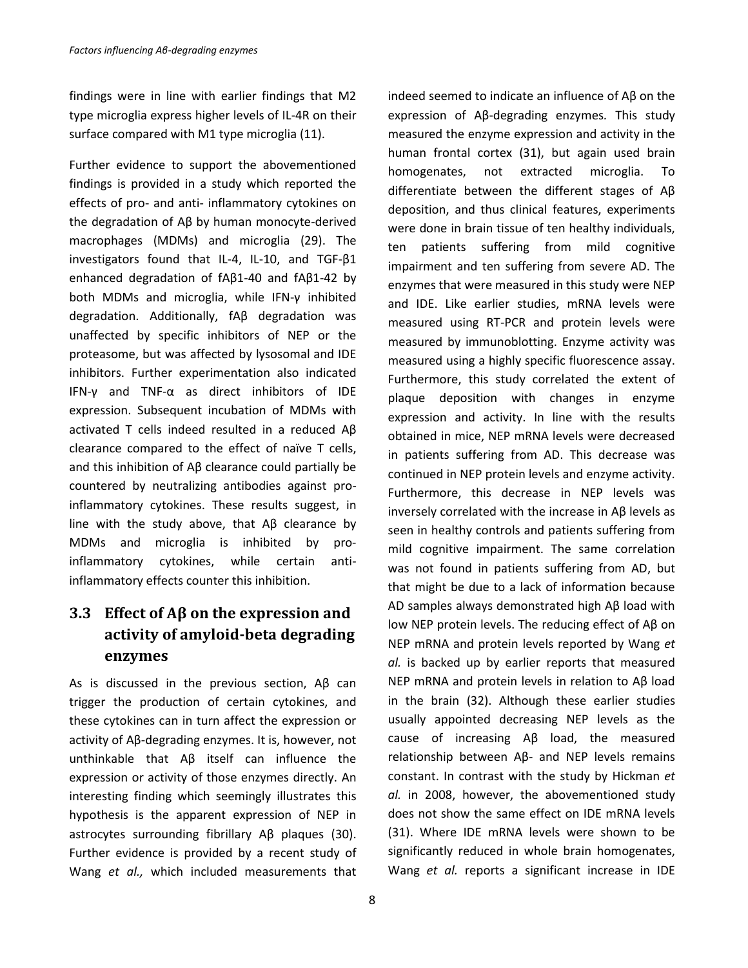findings were in line with earlier findings that M2 type microglia express higher levels of IL-4R on their surface compared with M1 type microglia (11).

Further evidence to support the abovementioned findings is provided in a study which reported the effects of pro- and anti- inflammatory cytokines on the degradation of Aβ by human monocyte-derived macrophages (MDMs) and microglia (29). The investigators found that IL-4, IL-10, and TGF-β1 enhanced degradation of fAβ1-40 and fAβ1-42 by both MDMs and microglia, while IFN-γ inhibited degradation. Additionally, fAβ degradation was unaffected by specific inhibitors of NEP or the proteasome, but was affected by lysosomal and IDE inhibitors. Further experimentation also indicated IFN-γ and TNF-α as direct inhibitors of IDE expression. Subsequent incubation of MDMs with activated T cells indeed resulted in a reduced Aβ clearance compared to the effect of naïve T cells, and this inhibition of Aβ clearance could partially be countered by neutralizing antibodies against proinflammatory cytokines. These results suggest, in line with the study above, that Aβ clearance by MDMs and microglia is inhibited by proinflammatory cytokines, while certain antiinflammatory effects counter this inhibition.

# **3.3 Effect of Aβ on the expression and activity of amyloid-beta degrading enzymes**

As is discussed in the previous section, Aβ can trigger the production of certain cytokines, and these cytokines can in turn affect the expression or activity of Aβ-degrading enzymes. It is, however, not unthinkable that Aβ itself can influence the expression or activity of those enzymes directly. An interesting finding which seemingly illustrates this hypothesis is the apparent expression of NEP in astrocytes surrounding fibrillary Aβ plaques (30). Further evidence is provided by a recent study of Wang *et al.,* which included measurements that

measured the enzyme expression and activity in the human frontal cortex (31), but again used brain homogenates, not extracted microglia. To differentiate between the different stages of Aβ deposition, and thus clinical features, experiments were done in brain tissue of ten healthy individuals, ten patients suffering from mild cognitive impairment and ten suffering from severe AD. The enzymes that were measured in this study were NEP and IDE. Like earlier studies, mRNA levels were measured using RT-PCR and protein levels were measured by immunoblotting. Enzyme activity was measured using a highly specific fluorescence assay. Furthermore, this study correlated the extent of plaque deposition with changes in enzyme expression and activity. In line with the results obtained in mice, NEP mRNA levels were decreased in patients suffering from AD. This decrease was continued in NEP protein levels and enzyme activity. Furthermore, this decrease in NEP levels was inversely correlated with the increase in Aβ levels as seen in healthy controls and patients suffering from mild cognitive impairment. The same correlation was not found in patients suffering from AD, but that might be due to a lack of information because AD samples always demonstrated high Aβ load with low NEP protein levels. The reducing effect of Aβ on NEP mRNA and protein levels reported by Wang *et al.* is backed up by earlier reports that measured NEP mRNA and protein levels in relation to Aβ load in the brain (32). Although these earlier studies usually appointed decreasing NEP levels as the cause of increasing Aβ load, the measured relationship between Aβ- and NEP levels remains constant. In contrast with the study by Hickman *et al.* in 2008, however, the abovementioned study does not show the same effect on IDE mRNA levels (31). Where IDE mRNA levels were shown to be significantly reduced in whole brain homogenates, Wang *et al.* reports a significant increase in IDE

indeed seemed to indicate an influence of Aβ on the expression of Aβ-degrading enzymes*.* This study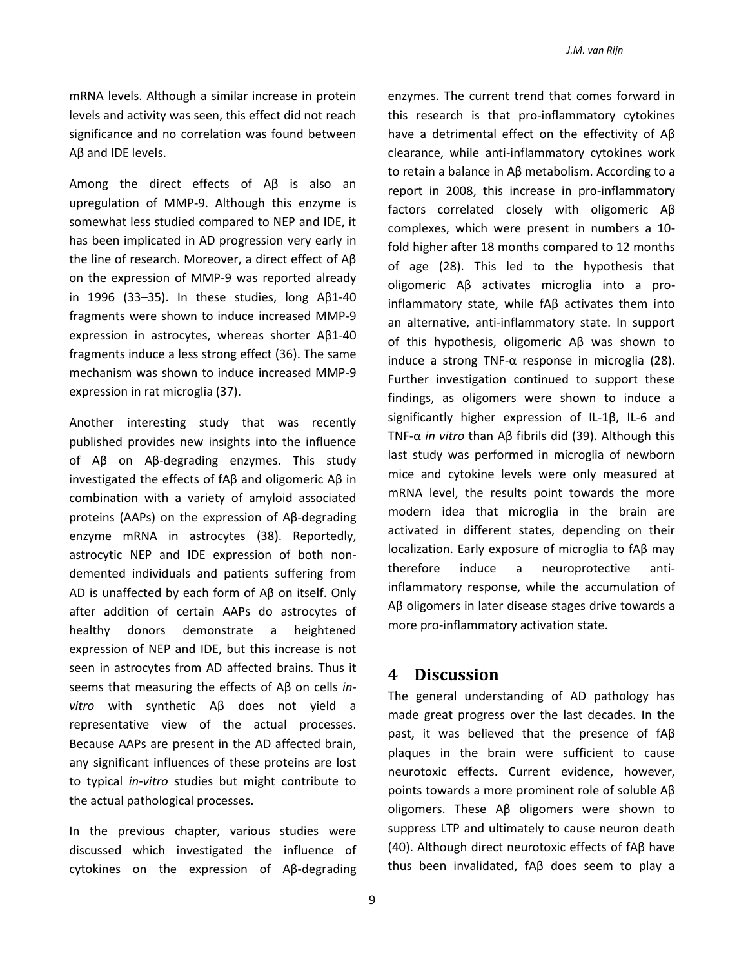mRNA levels. Although a similar increase in protein levels and activity was seen, this effect did not reach significance and no correlation was found between Aβ and IDE levels.

Among the direct effects of Aβ is also an upregulation of MMP-9. Although this enzyme is somewhat less studied compared to NEP and IDE, it has been implicated in AD progression very early in the line of research. Moreover, a direct effect of Aβ on the expression of MMP-9 was reported already in 1996 (33–35). In these studies, long Aβ1-40 fragments were shown to induce increased MMP-9 expression in astrocytes, whereas shorter Aβ1-40 fragments induce a less strong effect (36). The same mechanism was shown to induce increased MMP-9 expression in rat microglia (37).

Another interesting study that was recently published provides new insights into the influence of Aβ on Aβ-degrading enzymes. This study investigated the effects of fAβ and oligomeric Aβ in combination with a variety of amyloid associated proteins (AAPs) on the expression of Aβ-degrading enzyme mRNA in astrocytes (38). Reportedly, astrocytic NEP and IDE expression of both nondemented individuals and patients suffering from AD is unaffected by each form of Aβ on itself. Only after addition of certain AAPs do astrocytes of healthy donors demonstrate a heightened expression of NEP and IDE, but this increase is not seen in astrocytes from AD affected brains. Thus it seems that measuring the effects of Aβ on cells *invitro* with synthetic Aβ does not yield a representative view of the actual processes. Because AAPs are present in the AD affected brain, any significant influences of these proteins are lost to typical *in-vitro* studies but might contribute to the actual pathological processes.

In the previous chapter, various studies were discussed which investigated the influence of cytokines on the expression of Aβ-degrading

enzymes. The current trend that comes forward in this research is that pro-inflammatory cytokines have a detrimental effect on the effectivity of Aβ clearance, while anti-inflammatory cytokines work to retain a balance in Aβ metabolism. According to a report in 2008, this increase in pro-inflammatory factors correlated closely with oligomeric Aβ complexes, which were present in numbers a 10 fold higher after 18 months compared to 12 months of age (28). This led to the hypothesis that oligomeric Aβ activates microglia into a proinflammatory state, while fAβ activates them into an alternative, anti-inflammatory state. In support of this hypothesis, oligomeric Aβ was shown to induce a strong TNF-α response in microglia (28). Further investigation continued to support these findings, as oligomers were shown to induce a significantly higher expression of IL-1β, IL-6 and TNF-α *in vitro* than Aβ fibrils did (39). Although this last study was performed in microglia of newborn mice and cytokine levels were only measured at mRNA level, the results point towards the more modern idea that microglia in the brain are activated in different states, depending on their localization. Early exposure of microglia to fAβ may therefore induce a neuroprotective antiinflammatory response, while the accumulation of Aβ oligomers in later disease stages drive towards a more pro-inflammatory activation state.

#### **4 Discussion**

The general understanding of AD pathology has made great progress over the last decades. In the past, it was believed that the presence of fAβ plaques in the brain were sufficient to cause neurotoxic effects. Current evidence, however, points towards a more prominent role of soluble Aβ oligomers. These Aβ oligomers were shown to suppress LTP and ultimately to cause neuron death (40). Although direct neurotoxic effects of fAβ have thus been invalidated, fAβ does seem to play a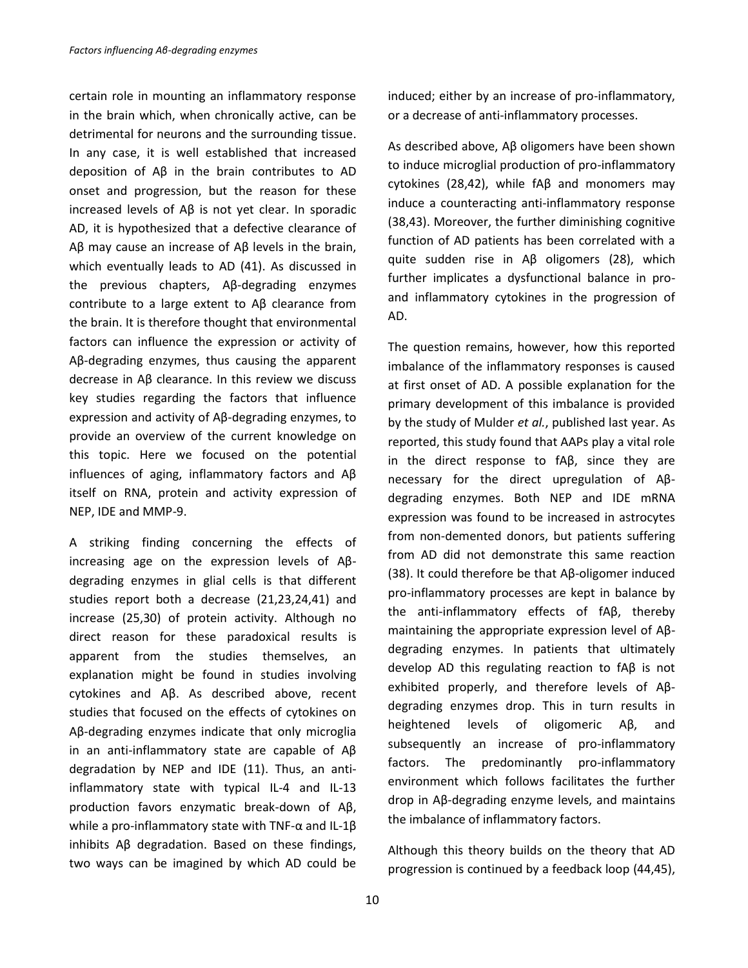certain role in mounting an inflammatory response in the brain which, when chronically active, can be detrimental for neurons and the surrounding tissue. In any case, it is well established that increased deposition of Aβ in the brain contributes to AD onset and progression, but the reason for these increased levels of Aβ is not yet clear. In sporadic AD, it is hypothesized that a defective clearance of Aβ may cause an increase of Aβ levels in the brain, which eventually leads to AD (41). As discussed in the previous chapters, Aβ-degrading enzymes contribute to a large extent to Aβ clearance from the brain. It is therefore thought that environmental factors can influence the expression or activity of Aβ-degrading enzymes, thus causing the apparent decrease in Aβ clearance. In this review we discuss key studies regarding the factors that influence expression and activity of Aβ-degrading enzymes, to provide an overview of the current knowledge on this topic. Here we focused on the potential influences of aging, inflammatory factors and Aβ itself on RNA, protein and activity expression of NEP, IDE and MMP-9.

A striking finding concerning the effects of increasing age on the expression levels of Aβdegrading enzymes in glial cells is that different studies report both a decrease (21,23,24,41) and increase (25,30) of protein activity. Although no direct reason for these paradoxical results is apparent from the studies themselves, an explanation might be found in studies involving cytokines and Aβ. As described above, recent studies that focused on the effects of cytokines on Aβ-degrading enzymes indicate that only microglia in an anti-inflammatory state are capable of Aβ degradation by NEP and IDE (11). Thus, an antiinflammatory state with typical IL-4 and IL-13 production favors enzymatic break-down of Aβ, while a pro-inflammatory state with TNF- $\alpha$  and IL-1 $\beta$ inhibits Aβ degradation. Based on these findings, two ways can be imagined by which AD could be

10

induced; either by an increase of pro-inflammatory, or a decrease of anti-inflammatory processes.

As described above, Aβ oligomers have been shown to induce microglial production of pro-inflammatory cytokines (28,42), while fAβ and monomers may induce a counteracting anti-inflammatory response (38,43). Moreover, the further diminishing cognitive function of AD patients has been correlated with a quite sudden rise in Aβ oligomers (28), which further implicates a dysfunctional balance in proand inflammatory cytokines in the progression of AD.

The question remains, however, how this reported imbalance of the inflammatory responses is caused at first onset of AD. A possible explanation for the primary development of this imbalance is provided by the study of Mulder *et al.*, published last year. As reported, this study found that AAPs play a vital role in the direct response to fAβ, since they are necessary for the direct upregulation of Aβdegrading enzymes. Both NEP and IDE mRNA expression was found to be increased in astrocytes from non-demented donors, but patients suffering from AD did not demonstrate this same reaction (38). It could therefore be that Aβ-oligomer induced pro-inflammatory processes are kept in balance by the anti-inflammatory effects of fAβ, thereby maintaining the appropriate expression level of Aβdegrading enzymes. In patients that ultimately develop AD this regulating reaction to fAβ is not exhibited properly, and therefore levels of Aβdegrading enzymes drop. This in turn results in heightened levels of oligomeric Aβ, and subsequently an increase of pro-inflammatory factors. The predominantly pro-inflammatory environment which follows facilitates the further drop in Aβ-degrading enzyme levels, and maintains the imbalance of inflammatory factors.

Although this theory builds on the theory that AD progression is continued by a feedback loop (44,45),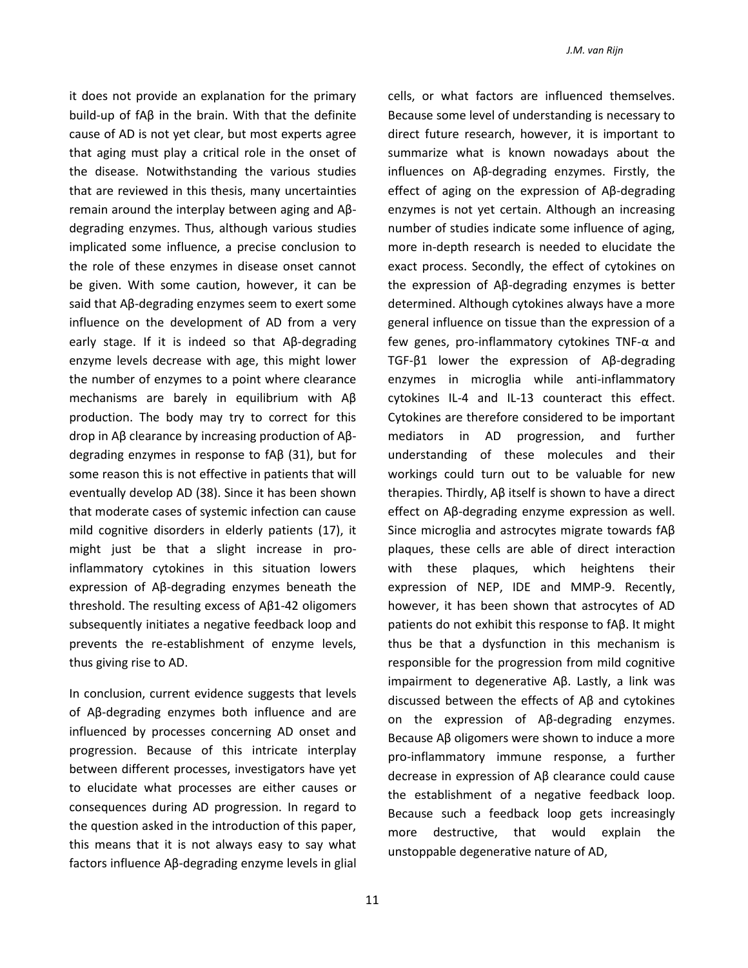*J.M. van Rijn*

cells, or what factors are influenced themselves.

it does not provide an explanation for the primary build-up of fAβ in the brain. With that the definite cause of AD is not yet clear, but most experts agree that aging must play a critical role in the onset of the disease. Notwithstanding the various studies that are reviewed in this thesis, many uncertainties remain around the interplay between aging and Aβdegrading enzymes. Thus, although various studies implicated some influence, a precise conclusion to the role of these enzymes in disease onset cannot be given. With some caution, however, it can be said that Aβ-degrading enzymes seem to exert some influence on the development of AD from a very early stage. If it is indeed so that Aβ-degrading enzyme levels decrease with age, this might lower the number of enzymes to a point where clearance mechanisms are barely in equilibrium with Aβ production. The body may try to correct for this drop in Aβ clearance by increasing production of Aβdegrading enzymes in response to fAβ (31), but for some reason this is not effective in patients that will eventually develop AD (38). Since it has been shown that moderate cases of systemic infection can cause mild cognitive disorders in elderly patients (17), it might just be that a slight increase in proinflammatory cytokines in this situation lowers expression of Aβ-degrading enzymes beneath the threshold. The resulting excess of Aβ1-42 oligomers subsequently initiates a negative feedback loop and prevents the re-establishment of enzyme levels, thus giving rise to AD.

In conclusion, current evidence suggests that levels of Aβ-degrading enzymes both influence and are influenced by processes concerning AD onset and progression. Because of this intricate interplay between different processes, investigators have yet to elucidate what processes are either causes or consequences during AD progression. In regard to the question asked in the introduction of this paper, this means that it is not always easy to say what factors influence Aβ-degrading enzyme levels in glial

Because some level of understanding is necessary to direct future research, however, it is important to summarize what is known nowadays about the influences on Aβ-degrading enzymes. Firstly, the effect of aging on the expression of Aβ-degrading enzymes is not yet certain. Although an increasing number of studies indicate some influence of aging, more in-depth research is needed to elucidate the exact process. Secondly, the effect of cytokines on the expression of Aβ-degrading enzymes is better determined. Although cytokines always have a more general influence on tissue than the expression of a few genes, pro-inflammatory cytokines TNF-α and TGF-β1 lower the expression of Aβ-degrading enzymes in microglia while anti-inflammatory cytokines IL-4 and IL-13 counteract this effect. Cytokines are therefore considered to be important mediators in AD progression, and further understanding of these molecules and their workings could turn out to be valuable for new therapies. Thirdly, Aβ itself is shown to have a direct effect on Aβ-degrading enzyme expression as well. Since microglia and astrocytes migrate towards fAβ plaques, these cells are able of direct interaction with these plaques, which heightens their expression of NEP, IDE and MMP-9. Recently, however, it has been shown that astrocytes of AD patients do not exhibit this response to fAβ. It might thus be that a dysfunction in this mechanism is responsible for the progression from mild cognitive impairment to degenerative Aβ. Lastly, a link was discussed between the effects of Aβ and cytokines on the expression of Aβ-degrading enzymes. Because Aβ oligomers were shown to induce a more pro-inflammatory immune response, a further decrease in expression of Aβ clearance could cause the establishment of a negative feedback loop. Because such a feedback loop gets increasingly more destructive, that would explain the unstoppable degenerative nature of AD,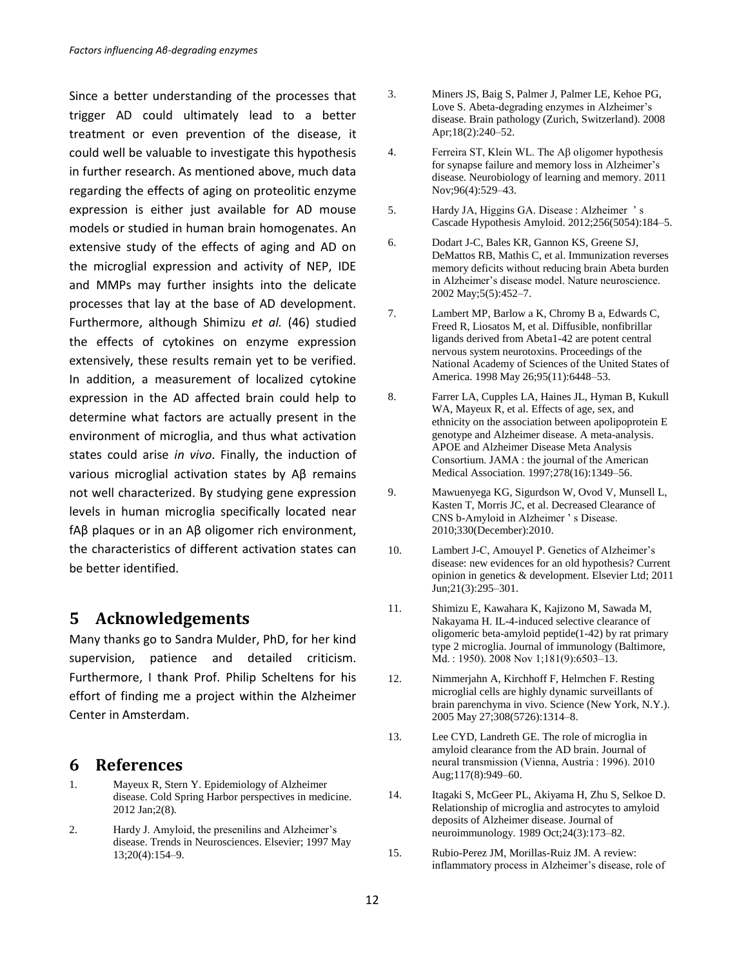Since a better understanding of the processes that trigger AD could ultimately lead to a better treatment or even prevention of the disease, it could well be valuable to investigate this hypothesis in further research. As mentioned above, much data regarding the effects of aging on proteolitic enzyme expression is either just available for AD mouse models or studied in human brain homogenates. An extensive study of the effects of aging and AD on the microglial expression and activity of NEP, IDE and MMPs may further insights into the delicate processes that lay at the base of AD development. Furthermore, although Shimizu *et al.* (46) studied the effects of cytokines on enzyme expression extensively, these results remain yet to be verified. In addition, a measurement of localized cytokine expression in the AD affected brain could help to determine what factors are actually present in the environment of microglia, and thus what activation states could arise *in vivo*. Finally, the induction of various microglial activation states by Aβ remains not well characterized. By studying gene expression levels in human microglia specifically located near fAβ plaques or in an Aβ oligomer rich environment, the characteristics of different activation states can be better identified.

#### **5 Acknowledgements**

Many thanks go to Sandra Mulder, PhD, for her kind supervision, patience and detailed criticism. Furthermore, I thank Prof. Philip Scheltens for his effort of finding me a project within the Alzheimer Center in Amsterdam.

#### **6 References**

- 1. Mayeux R, Stern Y. Epidemiology of Alzheimer disease. Cold Spring Harbor perspectives in medicine. 2012 Jan;2(8).
- 2. Hardy J. Amyloid, the presenilins and Alzheimer's disease. Trends in Neurosciences. Elsevier; 1997 May 13;20(4):154–9.
- 3. Miners JS, Baig S, Palmer J, Palmer LE, Kehoe PG, Love S. Abeta-degrading enzymes in Alzheimer's disease. Brain pathology (Zurich, Switzerland). 2008 Apr;18(2):240–52.
- 4. Ferreira ST, Klein WL. The Aβ oligomer hypothesis for synapse failure and memory loss in Alzheimer's disease. Neurobiology of learning and memory. 2011 Nov;96(4):529–43.
- 5. Hardy JA, Higgins GA. Disease : Alzheimer ' s Cascade Hypothesis Amyloid. 2012;256(5054):184–5.
- 6. Dodart J-C, Bales KR, Gannon KS, Greene SJ, DeMattos RB, Mathis C, et al. Immunization reverses memory deficits without reducing brain Abeta burden in Alzheimer's disease model. Nature neuroscience. 2002 May;5(5):452–7.
- 7. Lambert MP, Barlow a K, Chromy B a, Edwards C, Freed R, Liosatos M, et al. Diffusible, nonfibrillar ligands derived from Abeta1-42 are potent central nervous system neurotoxins. Proceedings of the National Academy of Sciences of the United States of America. 1998 May 26;95(11):6448–53.
- 8. Farrer LA, Cupples LA, Haines JL, Hyman B, Kukull WA, Mayeux R, et al. Effects of age, sex, and ethnicity on the association between apolipoprotein E genotype and Alzheimer disease. A meta-analysis. APOE and Alzheimer Disease Meta Analysis Consortium. JAMA : the journal of the American Medical Association. 1997;278(16):1349–56.
- 9. Mawuenyega KG, Sigurdson W, Ovod V, Munsell L, Kasten T, Morris JC, et al. Decreased Clearance of CNS b-Amyloid in Alzheimer ' s Disease. 2010;330(December):2010.
- 10. Lambert J-C, Amouyel P. Genetics of Alzheimer's disease: new evidences for an old hypothesis? Current opinion in genetics & development. Elsevier Ltd; 2011 Jun;21(3):295–301.
- 11. Shimizu E, Kawahara K, Kajizono M, Sawada M, Nakayama H. IL-4-induced selective clearance of oligomeric beta-amyloid peptide(1-42) by rat primary type 2 microglia. Journal of immunology (Baltimore, Md. : 1950). 2008 Nov 1;181(9):6503–13.
- 12. Nimmerjahn A, Kirchhoff F, Helmchen F. Resting microglial cells are highly dynamic surveillants of brain parenchyma in vivo. Science (New York, N.Y.). 2005 May 27;308(5726):1314–8.
- 13. Lee CYD, Landreth GE. The role of microglia in amyloid clearance from the AD brain. Journal of neural transmission (Vienna, Austria : 1996). 2010 Aug;117(8):949–60.
- 14. Itagaki S, McGeer PL, Akiyama H, Zhu S, Selkoe D. Relationship of microglia and astrocytes to amyloid deposits of Alzheimer disease. Journal of neuroimmunology. 1989 Oct;24(3):173–82.
- 15. Rubio-Perez JM, Morillas-Ruiz JM. A review: inflammatory process in Alzheimer's disease, role of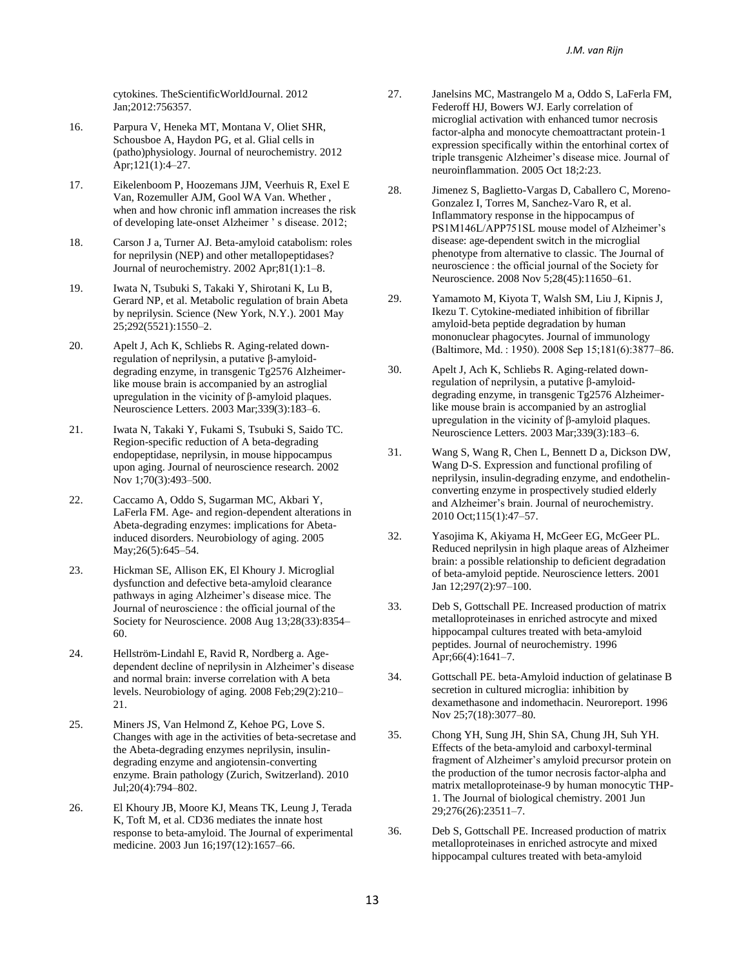cytokines. TheScientificWorldJournal. 2012 Jan;2012:756357.

- 16. Parpura V, Heneka MT, Montana V, Oliet SHR, Schousboe A, Haydon PG, et al. Glial cells in (patho)physiology. Journal of neurochemistry. 2012 Apr;121(1):4–27.
- 17. Eikelenboom P, Hoozemans JJM, Veerhuis R, Exel E Van, Rozemuller AJM, Gool WA Van. Whether , when and how chronic infl ammation increases the risk of developing late-onset Alzheimer ' s disease. 2012;
- 18. Carson J a, Turner AJ. Beta-amyloid catabolism: roles for neprilysin (NEP) and other metallopeptidases? Journal of neurochemistry. 2002 Apr;81(1):1–8.
- 19. Iwata N, Tsubuki S, Takaki Y, Shirotani K, Lu B, Gerard NP, et al. Metabolic regulation of brain Abeta by neprilysin. Science (New York, N.Y.). 2001 May 25;292(5521):1550–2.
- 20. Apelt J, Ach K, Schliebs R. Aging-related downregulation of neprilysin, a putative β-amyloiddegrading enzyme, in transgenic Tg2576 Alzheimerlike mouse brain is accompanied by an astroglial upregulation in the vicinity of β-amyloid plaques. Neuroscience Letters. 2003 Mar;339(3):183–6.
- 21. Iwata N, Takaki Y, Fukami S, Tsubuki S, Saido TC. Region-specific reduction of A beta-degrading endopeptidase, neprilysin, in mouse hippocampus upon aging. Journal of neuroscience research. 2002 Nov 1;70(3):493–500.
- 22. Caccamo A, Oddo S, Sugarman MC, Akbari Y, LaFerla FM. Age- and region-dependent alterations in Abeta-degrading enzymes: implications for Abetainduced disorders. Neurobiology of aging. 2005 May;26(5):645–54.
- 23. Hickman SE, Allison EK, El Khoury J. Microglial dysfunction and defective beta-amyloid clearance pathways in aging Alzheimer's disease mice. The Journal of neuroscience : the official journal of the Society for Neuroscience. 2008 Aug 13;28(33):8354– 60.
- 24. Hellström-Lindahl E, Ravid R, Nordberg a. Agedependent decline of neprilysin in Alzheimer's disease and normal brain: inverse correlation with A beta levels. Neurobiology of aging. 2008 Feb;29(2):210– 21.
- 25. Miners JS, Van Helmond Z, Kehoe PG, Love S. Changes with age in the activities of beta-secretase and the Abeta-degrading enzymes neprilysin, insulindegrading enzyme and angiotensin-converting enzyme. Brain pathology (Zurich, Switzerland). 2010 Jul;20(4):794–802.
- 26. El Khoury JB, Moore KJ, Means TK, Leung J, Terada K, Toft M, et al. CD36 mediates the innate host response to beta-amyloid. The Journal of experimental medicine. 2003 Jun 16;197(12):1657–66.
- 27. Janelsins MC, Mastrangelo M a, Oddo S, LaFerla FM, Federoff HJ, Bowers WJ. Early correlation of microglial activation with enhanced tumor necrosis factor-alpha and monocyte chemoattractant protein-1 expression specifically within the entorhinal cortex of triple transgenic Alzheimer's disease mice. Journal of neuroinflammation. 2005 Oct 18;2:23.
- 28. Jimenez S, Baglietto-Vargas D, Caballero C, Moreno-Gonzalez I, Torres M, Sanchez-Varo R, et al. Inflammatory response in the hippocampus of PS1M146L/APP751SL mouse model of Alzheimer's disease: age-dependent switch in the microglial phenotype from alternative to classic. The Journal of neuroscience : the official journal of the Society for Neuroscience. 2008 Nov 5;28(45):11650–61.
- 29. Yamamoto M, Kiyota T, Walsh SM, Liu J, Kipnis J, Ikezu T. Cytokine-mediated inhibition of fibrillar amyloid-beta peptide degradation by human mononuclear phagocytes. Journal of immunology (Baltimore, Md. : 1950). 2008 Sep 15;181(6):3877–86.
- 30. Apelt J, Ach K, Schliebs R. Aging-related downregulation of neprilysin, a putative β-amyloiddegrading enzyme, in transgenic Tg2576 Alzheimerlike mouse brain is accompanied by an astroglial upregulation in the vicinity of β-amyloid plaques. Neuroscience Letters. 2003 Mar;339(3):183–6.
- 31. Wang S, Wang R, Chen L, Bennett D a, Dickson DW, Wang D-S. Expression and functional profiling of neprilysin, insulin-degrading enzyme, and endothelinconverting enzyme in prospectively studied elderly and Alzheimer's brain. Journal of neurochemistry. 2010 Oct;115(1):47–57.
- 32. Yasojima K, Akiyama H, McGeer EG, McGeer PL. Reduced neprilysin in high plaque areas of Alzheimer brain: a possible relationship to deficient degradation of beta-amyloid peptide. Neuroscience letters. 2001 Jan 12;297(2):97–100.
- 33. Deb S, Gottschall PE. Increased production of matrix metalloproteinases in enriched astrocyte and mixed hippocampal cultures treated with beta-amyloid peptides. Journal of neurochemistry. 1996 Apr;66(4):1641–7.
- 34. Gottschall PE. beta-Amyloid induction of gelatinase B secretion in cultured microglia: inhibition by dexamethasone and indomethacin. Neuroreport. 1996 Nov 25;7(18):3077–80.
- 35. Chong YH, Sung JH, Shin SA, Chung JH, Suh YH. Effects of the beta-amyloid and carboxyl-terminal fragment of Alzheimer's amyloid precursor protein on the production of the tumor necrosis factor-alpha and matrix metalloproteinase-9 by human monocytic THP-1. The Journal of biological chemistry. 2001 Jun 29;276(26):23511–7.
- 36. Deb S, Gottschall PE. Increased production of matrix metalloproteinases in enriched astrocyte and mixed hippocampal cultures treated with beta-amyloid